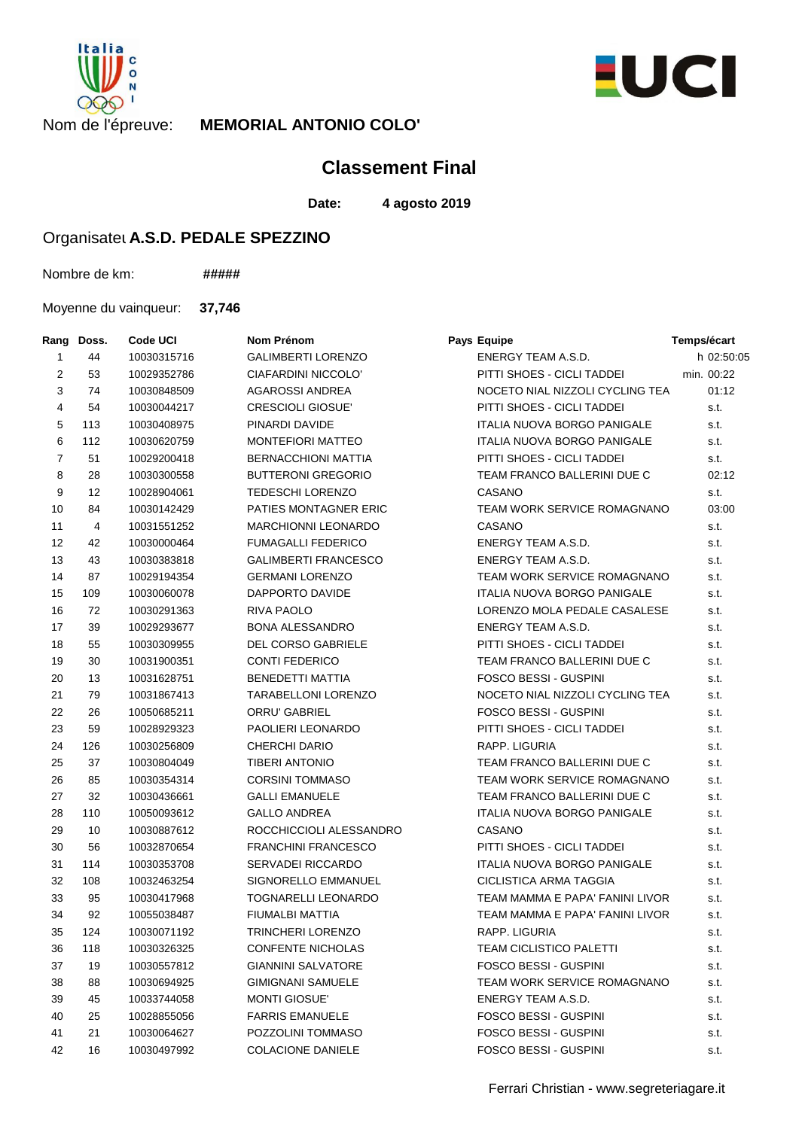



## Nom de l'épreuve: **MEMORIAL ANTONIO COLO'**

## **Classement Final**

**Date: 4 agosto 2019**

## Organisateu A.S.D. PEDALE SPEZZINO

Nombre de km: **#####**

Moyenne du vainqueur: **37,746**

| Rang           | Doss. | <b>Code UCI</b> | Nom Prénom                  | Pays Equipe                        | Temps/écart |
|----------------|-------|-----------------|-----------------------------|------------------------------------|-------------|
| 1              | 44    | 10030315716     | <b>GALIMBERTI LORENZO</b>   | ENERGY TEAM A.S.D.                 | h 02:50:05  |
| 2              | 53    | 10029352786     | CIAFARDINI NICCOLO'         | PITTI SHOES - CICLI TADDEI         | min. 00:22  |
| 3              | 74    | 10030848509     | <b>AGAROSSI ANDREA</b>      | NOCETO NIAL NIZZOLI CYCLING TEA    | 01:12       |
| 4              | 54    | 10030044217     | <b>CRESCIOLI GIOSUE'</b>    | PITTI SHOES - CICLI TADDEI         | s.t.        |
| 5              | 113   | 10030408975     | PINARDI DAVIDE              | <b>ITALIA NUOVA BORGO PANIGALE</b> | s.t.        |
| 6              | 112   | 10030620759     | <b>MONTEFIORI MATTEO</b>    | ITALIA NUOVA BORGO PANIGALE        | s.t.        |
| $\overline{7}$ | 51    | 10029200418     | <b>BERNACCHIONI MATTIA</b>  | PITTI SHOES - CICLI TADDEI         | s.t.        |
| 8              | 28    | 10030300558     | <b>BUTTERONI GREGORIO</b>   | TEAM FRANCO BALLERINI DUE C        | 02:12       |
| 9              | 12    | 10028904061     | <b>TEDESCHI LORENZO</b>     | CASANO                             | s.t.        |
| 10             | 84    | 10030142429     | PATIES MONTAGNER ERIC       | TEAM WORK SERVICE ROMAGNANO        | 03:00       |
| 11             | 4     | 10031551252     | <b>MARCHIONNI LEONARDO</b>  | CASANO                             | s.t.        |
| 12             | 42    | 10030000464     | <b>FUMAGALLI FEDERICO</b>   | ENERGY TEAM A.S.D.                 | s.t.        |
| 13             | 43    | 10030383818     | <b>GALIMBERTI FRANCESCO</b> | ENERGY TEAM A.S.D.                 | s.t.        |
| 14             | 87    | 10029194354     | <b>GERMANI LORENZO</b>      | TEAM WORK SERVICE ROMAGNANO        | s.t.        |
| 15             | 109   | 10030060078     | DAPPORTO DAVIDE             | <b>ITALIA NUOVA BORGO PANIGALE</b> | s.t.        |
| 16             | 72    | 10030291363     | RIVA PAOLO                  | LORENZO MOLA PEDALE CASALESE       | s.t.        |
| 17             | 39    | 10029293677     | <b>BONA ALESSANDRO</b>      | ENERGY TEAM A.S.D.                 | s.t.        |
| 18             | 55    | 10030309955     | <b>DEL CORSO GABRIELE</b>   | PITTI SHOES - CICLI TADDEI         | s.t.        |
| 19             | 30    | 10031900351     | <b>CONTI FEDERICO</b>       | TEAM FRANCO BALLERINI DUE C        | s.t.        |
| 20             | 13    | 10031628751     | <b>BENEDETTI MATTIA</b>     | <b>FOSCO BESSI - GUSPINI</b>       | s.t.        |
| 21             | 79    | 10031867413     | <b>TARABELLONI LORENZO</b>  | NOCETO NIAL NIZZOLI CYCLING TEA    | s.t.        |
| 22             | 26    | 10050685211     | ORRU' GABRIEL               | <b>FOSCO BESSI - GUSPINI</b>       | s.t.        |
| 23             | 59    | 10028929323     | PAOLIERI LEONARDO           | PITTI SHOES - CICLI TADDEI         | s.t.        |
| 24             | 126   | 10030256809     | CHERCHI DARIO               | RAPP. LIGURIA                      | s.t.        |
| 25             | 37    | 10030804049     | <b>TIBERI ANTONIO</b>       | TEAM FRANCO BALLERINI DUE C        | s.t.        |
| 26             | 85    | 10030354314     | <b>CORSINI TOMMASO</b>      | TEAM WORK SERVICE ROMAGNANO        | s.t.        |
| 27             | 32    | 10030436661     | <b>GALLI EMANUELE</b>       | TEAM FRANCO BALLERINI DUE C        | s.t.        |
| 28             | 110   | 10050093612     | <b>GALLO ANDREA</b>         | ITALIA NUOVA BORGO PANIGALE        | s.t.        |
| 29             | 10    | 10030887612     | ROCCHICCIOLI ALESSANDRO     | CASANO                             | s.t.        |
| 30             | 56    | 10032870654     | <b>FRANCHINI FRANCESCO</b>  | PITTI SHOES - CICLI TADDEI         | s.t.        |
| 31             | 114   | 10030353708     | <b>SERVADEI RICCARDO</b>    | ITALIA NUOVA BORGO PANIGALE        | s.t.        |
| 32             | 108   | 10032463254     | SIGNORELLO EMMANUEL         | CICLISTICA ARMA TAGGIA             | s.t.        |
| 33             | 95    | 10030417968     | TOGNARELLI LEONARDO         | TEAM MAMMA E PAPA' FANINI LIVOR    | s.t.        |
| 34             | 92    | 10055038487     | FIUMALBI MATTIA             | TEAM MAMMA E PAPA' FANINI LIVOR    | s.t.        |
| 35             | 124   | 10030071192     | TRINCHERI LORENZO           | RAPP. LIGURIA                      | s.t.        |
| 36             | 118   | 10030326325     | <b>CONFENTE NICHOLAS</b>    | TEAM CICLISTICO PALETTI            | s.t.        |
| 37             | 19    | 10030557812     | <b>GIANNINI SALVATORE</b>   | FOSCO BESSI - GUSPINI              | s.t.        |
| 38             | 88    | 10030694925     | GIMIGNANI SAMUELE           | TEAM WORK SERVICE ROMAGNANO        | s.t.        |
| 39             | 45    | 10033744058     | <b>MONTI GIOSUE'</b>        | ENERGY TEAM A.S.D.                 | s.t.        |
| 40             | 25    | 10028855056     | <b>FARRIS EMANUELE</b>      | <b>FOSCO BESSI - GUSPINI</b>       | s.t.        |
| 41             | 21    | 10030064627     | POZZOLINI TOMMASO           | FOSCO BESSI - GUSPINI              | s.t.        |
| 42             | 16    | 10030497992     | <b>COLACIONE DANIELE</b>    | FOSCO BESSI - GUSPINI              | s.t.        |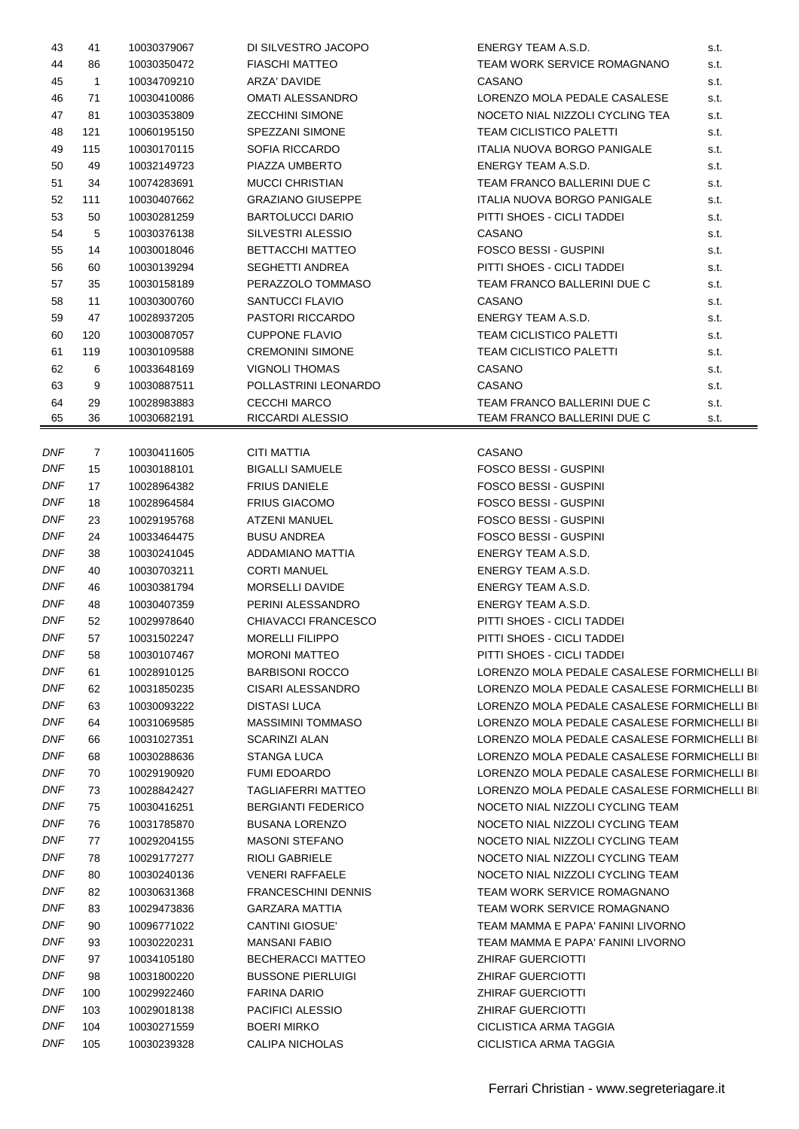| 43         | 41           | 10030379067 | DI SILVESTRO JACOPO        | ENERGY TEAM A.S.D.                           | s.t. |  |
|------------|--------------|-------------|----------------------------|----------------------------------------------|------|--|
| 44         | 86           | 10030350472 | <b>FIASCHI MATTEO</b>      | TEAM WORK SERVICE ROMAGNANO                  | s.t. |  |
| 45         | $\mathbf{1}$ | 10034709210 | ARZA' DAVIDE               | CASANO                                       | s.t. |  |
| 46         | 71           | 10030410086 | <b>OMATI ALESSANDRO</b>    | LORENZO MOLA PEDALE CASALESE                 | s.t. |  |
| 47         | 81           | 10030353809 | <b>ZECCHINI SIMONE</b>     | NOCETO NIAL NIZZOLI CYCLING TEA              | s.t. |  |
| 48         | 121          | 10060195150 | SPEZZANI SIMONE            | <b>TEAM CICLISTICO PALETTI</b>               | s.t. |  |
| 49         | 115          | 10030170115 | SOFIA RICCARDO             | ITALIA NUOVA BORGO PANIGALE                  | s.t. |  |
| 50         | 49           | 10032149723 | PIAZZA UMBERTO             | ENERGY TEAM A.S.D.                           | s.t. |  |
| 51         | 34           | 10074283691 | <b>MUCCI CHRISTIAN</b>     | TEAM FRANCO BALLERINI DUE C                  | s.t. |  |
|            |              |             |                            |                                              |      |  |
| 52         | 111          | 10030407662 | <b>GRAZIANO GIUSEPPE</b>   | ITALIA NUOVA BORGO PANIGALE                  | s.t. |  |
| 53         | 50           | 10030281259 | <b>BARTOLUCCI DARIO</b>    | PITTI SHOES - CICLI TADDEI                   | s.t. |  |
| 54         | 5            | 10030376138 | SILVESTRI ALESSIO          | CASANO                                       | s.t. |  |
| 55         | 14           | 10030018046 | <b>BETTACCHI MATTEO</b>    | <b>FOSCO BESSI - GUSPINI</b>                 | s.t. |  |
| 56         | 60           | 10030139294 | SEGHETTI ANDREA            | PITTI SHOES - CICLI TADDEI                   | s.t. |  |
| 57         | 35           | 10030158189 | PERAZZOLO TOMMASO          | TEAM FRANCO BALLERINI DUE C                  | s.t. |  |
| 58         | 11           | 10030300760 | SANTUCCI FLAVIO            | CASANO                                       | s.t. |  |
| 59         | 47           | 10028937205 | <b>PASTORI RICCARDO</b>    | ENERGY TEAM A.S.D.                           | s.t. |  |
| 60         | 120          | 10030087057 | <b>CUPPONE FLAVIO</b>      | <b>TEAM CICLISTICO PALETTI</b>               | s.t. |  |
| 61         | 119          | 10030109588 | <b>CREMONINI SIMONE</b>    | <b>TEAM CICLISTICO PALETTI</b>               | s.t. |  |
| 62         | 6            | 10033648169 | <b>VIGNOLI THOMAS</b>      | CASANO                                       | s.t. |  |
| 63         | 9            | 10030887511 | POLLASTRINI LEONARDO       | CASANO                                       | s.t. |  |
| 64         | 29           | 10028983883 | <b>CECCHI MARCO</b>        | TEAM FRANCO BALLERINI DUE C                  | s.t. |  |
| 65         | 36           | 10030682191 | RICCARDI ALESSIO           | TEAM FRANCO BALLERINI DUE C                  | s.t. |  |
|            |              |             |                            |                                              |      |  |
| DNF        | 7            | 10030411605 | CITI MATTIA                | CASANO                                       |      |  |
| DNF        | 15           | 10030188101 | <b>BIGALLI SAMUELE</b>     | <b>FOSCO BESSI - GUSPINI</b>                 |      |  |
| DNF        | 17           | 10028964382 | <b>FRIUS DANIELE</b>       | <b>FOSCO BESSI - GUSPINI</b>                 |      |  |
| DNF        |              |             |                            |                                              |      |  |
|            | 18           | 10028964584 | <b>FRIUS GIACOMO</b>       | <b>FOSCO BESSI - GUSPINI</b>                 |      |  |
| DNF        | 23           | 10029195768 | <b>ATZENI MANUEL</b>       | <b>FOSCO BESSI - GUSPINI</b>                 |      |  |
| <b>DNF</b> | 24           | 10033464475 | <b>BUSU ANDREA</b>         | <b>FOSCO BESSI - GUSPINI</b>                 |      |  |
| DNF        | 38           | 10030241045 | ADDAMIANO MATTIA           | ENERGY TEAM A.S.D.                           |      |  |
| <b>DNF</b> | 40           | 10030703211 | <b>CORTI MANUEL</b>        | ENERGY TEAM A.S.D.                           |      |  |
| DNF        | 46           | 10030381794 | MORSELLI DAVIDE            | ENERGY TEAM A.S.D.                           |      |  |
| <b>DNF</b> | 48           | 10030407359 | PERINI ALESSANDRO          | ENERGY TEAM A.S.D.                           |      |  |
| <b>DNF</b> | 52           | 10029978640 | CHIAVACCI FRANCESCO        | PITTI SHOES - CICLI TADDEI                   |      |  |
| <b>DNF</b> | 57           | 10031502247 | <b>MORELLI FILIPPO</b>     | PITTI SHOES - CICLI TADDEI                   |      |  |
| <b>DNF</b> | 58           | 10030107467 | <b>MORONI MATTEO</b>       | PITTI SHOES - CICLI TADDEI                   |      |  |
| <b>DNF</b> | 61           | 10028910125 | <b>BARBISONI ROCCO</b>     | LORENZO MOLA PEDALE CASALESE FORMICHELLI BII |      |  |
| <b>DNF</b> | 62           | 10031850235 | CISARI ALESSANDRO          | LORENZO MOLA PEDALE CASALESE FORMICHELLI BII |      |  |
| DNF        | 63           | 10030093222 | <b>DISTASI LUCA</b>        | LORENZO MOLA PEDALE CASALESE FORMICHELLI BII |      |  |
| DNF        | 64           | 10031069585 | MASSIMINI TOMMASO          | LORENZO MOLA PEDALE CASALESE FORMICHELLI BII |      |  |
| <b>DNF</b> | 66           | 10031027351 | <b>SCARINZI ALAN</b>       | LORENZO MOLA PEDALE CASALESE FORMICHELLI BII |      |  |
| <b>DNF</b> | 68           | 10030288636 | STANGA LUCA                | LORENZO MOLA PEDALE CASALESE FORMICHELLI BII |      |  |
| <b>DNF</b> | 70           | 10029190920 | <b>FUMI EDOARDO</b>        | LORENZO MOLA PEDALE CASALESE FORMICHELLI BII |      |  |
| <b>DNF</b> | 73           | 10028842427 | <b>TAGLIAFERRI MATTEO</b>  | LORENZO MOLA PEDALE CASALESE FORMICHELLI BII |      |  |
| DNF        | 75           | 10030416251 | <b>BERGIANTI FEDERICO</b>  | NOCETO NIAL NIZZOLI CYCLING TEAM             |      |  |
| <b>DNF</b> |              |             | <b>BUSANA LORENZO</b>      | NOCETO NIAL NIZZOLI CYCLING TEAM             |      |  |
| <b>DNF</b> | 76           | 10031785870 |                            |                                              |      |  |
|            | 77           | 10029204155 | <b>MASONI STEFANO</b>      | NOCETO NIAL NIZZOLI CYCLING TEAM             |      |  |
| <b>DNF</b> | 78           | 10029177277 | <b>RIOLI GABRIELE</b>      | NOCETO NIAL NIZZOLI CYCLING TEAM             |      |  |
| DNF        | 80           | 10030240136 | <b>VENERI RAFFAELE</b>     | NOCETO NIAL NIZZOLI CYCLING TEAM             |      |  |
| DNF        | 82           | 10030631368 | <b>FRANCESCHINI DENNIS</b> | TEAM WORK SERVICE ROMAGNANO                  |      |  |
| DNF        | 83           | 10029473836 | <b>GARZARA MATTIA</b>      | TEAM WORK SERVICE ROMAGNANO                  |      |  |
| <b>DNF</b> | 90           | 10096771022 | CANTINI GIOSUE'            | TEAM MAMMA E PAPA' FANINI LIVORNO            |      |  |
| <b>DNF</b> | 93           | 10030220231 | <b>MANSANI FABIO</b>       | TEAM MAMMA E PAPA' FANINI LIVORNO            |      |  |
| <b>DNF</b> | 97           | 10034105180 | <b>BECHERACCI MATTEO</b>   | <b>ZHIRAF GUERCIOTTI</b>                     |      |  |
| DNF        | 98           | 10031800220 | <b>BUSSONE PIERLUIGI</b>   | <b>ZHIRAF GUERCIOTTI</b>                     |      |  |
| DNF        | 100          | 10029922460 | <b>FARINA DARIO</b>        | <b>ZHIRAF GUERCIOTTI</b>                     |      |  |
| DNF        | 103          | 10029018138 | PACIFICI ALESSIO           | ZHIRAF GUERCIOTTI                            |      |  |
| <b>DNF</b> | 104          | 10030271559 | <b>BOERI MIRKO</b>         | CICLISTICA ARMA TAGGIA                       |      |  |
|            |              |             |                            |                                              |      |  |